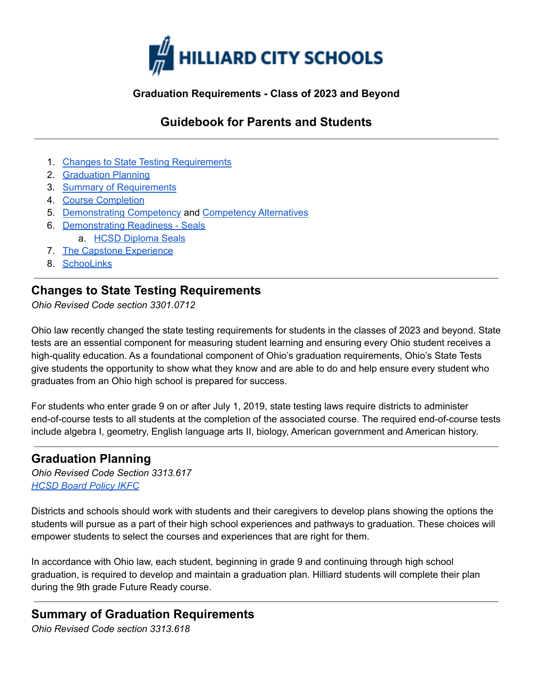

#### **Graduation Requirements - Class of 2023 and Beyond**

## **Guidebook for Parents and Students**

- 1. Changes to State Testing [Requirements](#page-0-0)
- 2. [Graduation](#page-0-1) Planning
- 3. Summary of [Requirements](#page-0-2)
- 4. Course [Completion](#page-1-0)
- 5. [Demonstrating](#page-1-1) Competency and [Competency](#page-2-0) Alternatives
- 6. [Demonstrating](#page-3-0) Readiness Seals
	- a. HCSD [Diploma](https://docs.google.com/document/d/e/2PACX-1vQhLf9ZLRcjtlJrlx2vH60pITLCZ5W-_wb6qTRGjVBx1VDKZtce5_eKAhFPToL0MuKNpTxyIVcyNJYQ/pub) Seals
- 7. The Capstone [Experience](#page-3-1)
- 8. [SchooLinks](#page-4-0)

### <span id="page-0-0"></span>**Changes to State Testing Requirements**

*Ohio Revised Code section 3301.0712*

Ohio law recently changed the state testing requirements for students in the classes of 2023 and beyond. State tests are an essential component for measuring student learning and ensuring every Ohio student receives a high-quality education. As a foundational component of Ohio's graduation requirements, Ohio's State Tests give students the opportunity to show what they know and are able to do and help ensure every student who graduates from an Ohio high school is prepared for success.

For students who enter grade 9 on or after July 1, 2019, state testing laws require districts to administer end-of-course tests to all students at the completion of the associated course. The required end-of-course tests include algebra I, geometry, English language arts II, biology, American government and American history.

### <span id="page-0-1"></span>**Graduation Planning**

*Ohio Revised Code Section 3313.617 [HCSD](http://go.boarddocs.com/oh/hilliard/Board.nsf/goto?open&id=BSKHQ94651EC) Board Policy IKFC*

Districts and schools should work with students and their caregivers to develop plans showing the options the students will pursue as a part of their high school experiences and pathways to graduation. These choices will empower students to select the courses and experiences that are right for them.

In accordance with Ohio law, each student, beginning in grade 9 and continuing through high school graduation, is required to develop and maintain a graduation plan. Hilliard students will complete their plan during the 9th grade Future Ready course.

# <span id="page-0-2"></span>**Summary of Graduation Requirements**

*Ohio Revised Code section 3313.618*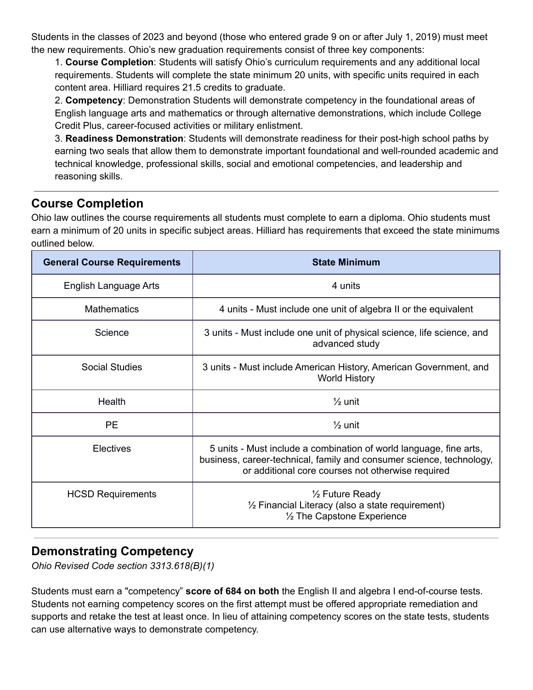Students in the classes of 2023 and beyond (those who entered grade 9 on or after July 1, 2019) must meet the new requirements. Ohio's new graduation requirements consist of three key components:

1. **Course Completion**: Students will satisfy Ohio's curriculum requirements and any additional local requirements. Students will complete the state minimum 20 units, with specific units required in each content area. Hilliard requires 21.5 credits to graduate.

2. **Competency**: Demonstration Students will demonstrate competency in the foundational areas of English language arts and mathematics or through alternative demonstrations, which include College Credit Plus, career-focused activities or military enlistment.

3. **Readiness Demonstration**: Students will demonstrate readiness for their post-high school paths by earning two seals that allow them to demonstrate important foundational and well-rounded academic and technical knowledge, professional skills, social and emotional competencies, and leadership and reasoning skills.

# <span id="page-1-0"></span>**Course Completion**

Ohio law outlines the course requirements all students must complete to earn a diploma. Ohio students must earn a minimum of 20 units in specific subject areas. Hilliard has requirements that exceed the state minimums outlined below.

| <b>General Course Requirements</b> | <b>State Minimum</b>                                                                                                                                                                            |  |
|------------------------------------|-------------------------------------------------------------------------------------------------------------------------------------------------------------------------------------------------|--|
| English Language Arts              | 4 units                                                                                                                                                                                         |  |
| <b>Mathematics</b>                 | 4 units - Must include one unit of algebra II or the equivalent                                                                                                                                 |  |
| Science                            | 3 units - Must include one unit of physical science, life science, and<br>advanced study                                                                                                        |  |
| Social Studies                     | 3 units - Must include American History, American Government, and<br><b>World History</b>                                                                                                       |  |
| Health                             | $\frac{1}{2}$ unit                                                                                                                                                                              |  |
| <b>PE</b>                          | $\frac{1}{2}$ unit                                                                                                                                                                              |  |
| <b>Electives</b>                   | 5 units - Must include a combination of world language, fine arts,<br>business, career-technical, family and consumer science, technology,<br>or additional core courses not otherwise required |  |
| <b>HCSD Requirements</b>           | $\frac{1}{2}$ Future Ready<br>$\frac{1}{2}$ Financial Literacy (also a state requirement)<br>1/2 The Capstone Experience                                                                        |  |

# <span id="page-1-1"></span>**Demonstrating Competency**

*Ohio Revised Code section 3313.618(B)(1)*

Students must earn a "competency" **score of 684 on both** the English II and algebra I end-of-course tests. Students not earning competency scores on the first attempt must be offered appropriate remediation and supports and retake the test at least once. In lieu of attaining competency scores on the state tests, students can use alternative ways to demonstrate competency.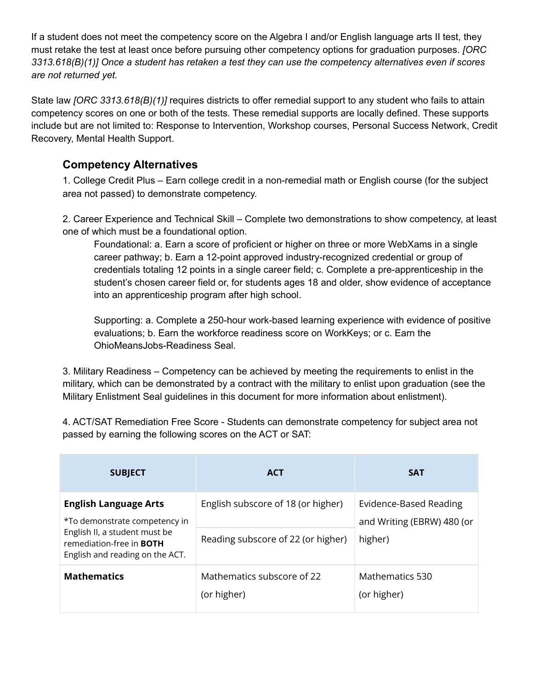If a student does not meet the competency score on the Algebra I and/or English language arts II test, they must retake the test at least once before pursuing other competency options for graduation purposes. *[ORC 3313.618(B)(1)] Once a student has retaken a test they can use the competency alternatives even if scores are not returned yet.*

State law *[ORC 3313.618(B)(1)]* requires districts to offer remedial support to any student who fails to attain competency scores on one or both of the tests. These remedial supports are locally defined. These supports include but are not limited to: Response to Intervention, Workshop courses, Personal Success Network, Credit Recovery, Mental Health Support.

### <span id="page-2-0"></span>**Competency Alternatives**

1. College Credit Plus – Earn college credit in a non-remedial math or English course (for the subject area not passed) to demonstrate competency.

2. Career Experience and Technical Skill – Complete two demonstrations to show competency, at least one of which must be a foundational option.

Foundational: a. Earn a score of proficient or higher on three or more WebXams in a single career pathway; b. Earn a 12-point approved industry-recognized credential or group of credentials totaling 12 points in a single career field; c. Complete a pre-apprenticeship in the student's chosen career field or, for students ages 18 and older, show evidence of acceptance into an apprenticeship program after high school.

Supporting: a. Complete a 250-hour work-based learning experience with evidence of positive evaluations; b. Earn the workforce readiness score on WorkKeys; or c. Earn the OhioMeansJobs-Readiness Seal.

3. Military Readiness – Competency can be achieved by meeting the requirements to enlist in the military, which can be demonstrated by a contract with the military to enlist upon graduation (see the Military Enlistment Seal guidelines in this document for more information about enlistment).

4. ACT/SAT Remediation Free Score - Students can demonstrate competency for subject area not passed by earning the following scores on the ACT or SAT:

| <b>SUBJECT</b>                                                                                                                                                       | <b>ACT</b>                                | <b>SAT</b>                                                      |
|----------------------------------------------------------------------------------------------------------------------------------------------------------------------|-------------------------------------------|-----------------------------------------------------------------|
| <b>English Language Arts</b><br>*To demonstrate competency in<br>English II, a student must be<br>remediation-free in <b>BOTH</b><br>English and reading on the ACT. | English subscore of 18 (or higher)        | Evidence-Based Reading<br>and Writing (EBRW) 480 (or<br>higher) |
|                                                                                                                                                                      | Reading subscore of 22 (or higher)        |                                                                 |
| <b>Mathematics</b>                                                                                                                                                   | Mathematics subscore of 22<br>(or higher) | Mathematics 530<br>(or higher)                                  |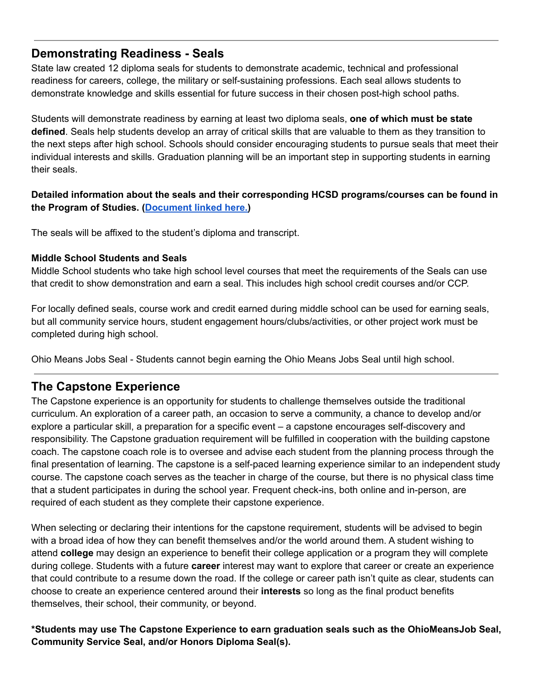### <span id="page-3-0"></span>**Demonstrating Readiness - Seals**

State law created 12 diploma seals for students to demonstrate academic, technical and professional readiness for careers, college, the military or self-sustaining professions. Each seal allows students to demonstrate knowledge and skills essential for future success in their chosen post-high school paths.

Students will demonstrate readiness by earning at least two diploma seals, **one of which must be state defined**. Seals help students develop an array of critical skills that are valuable to them as they transition to the next steps after high school. Schools should consider encouraging students to pursue seals that meet their individual interests and skills. Graduation planning will be an important step in supporting students in earning their seals.

### **Detailed information about the seals and their corresponding HCSD programs/courses can be found in the Program of Studies. ([Document](https://docs.google.com/document/d/e/2PACX-1vQhLf9ZLRcjtlJrlx2vH60pITLCZ5W-_wb6qTRGjVBx1VDKZtce5_eKAhFPToL0MuKNpTxyIVcyNJYQ/pub) linked here[.\)](https://docs.google.com/document/d/1_VgVqbkOeibqW80xcaLg5RbvZDs_v-W2l6MQxaNjmHI/edit)**

The seals will be affixed to the student's diploma and transcript.

#### **Middle School Students and Seals**

Middle School students who take high school level courses that meet the requirements of the Seals can use that credit to show demonstration and earn a seal. This includes high school credit courses and/or CCP.

For locally defined seals, course work and credit earned during middle school can be used for earning seals, but all community service hours, student engagement hours/clubs/activities, or other project work must be completed during high school.

Ohio Means Jobs Seal - Students cannot begin earning the Ohio Means Jobs Seal until high school.

# <span id="page-3-1"></span>**The Capstone Experience**

The Capstone experience is an opportunity for students to challenge themselves outside the traditional curriculum. An exploration of a career path, an occasion to serve a community, a chance to develop and/or explore a particular skill, a preparation for a specific event – a capstone encourages self-discovery and responsibility. The Capstone graduation requirement will be fulfilled in cooperation with the building capstone coach. The capstone coach role is to oversee and advise each student from the planning process through the final presentation of learning. The capstone is a self-paced learning experience similar to an independent study course. The capstone coach serves as the teacher in charge of the course, but there is no physical class time that a student participates in during the school year. Frequent check-ins, both online and in-person, are required of each student as they complete their capstone experience.

When selecting or declaring their intentions for the capstone requirement, students will be advised to begin with a broad idea of how they can benefit themselves and/or the world around them. A student wishing to attend **college** may design an experience to benefit their college application or a program they will complete during college. Students with a future **career** interest may want to explore that career or create an experience that could contribute to a resume down the road. If the college or career path isn't quite as clear, students can choose to create an experience centered around their **interests** so long as the final product benefits themselves, their school, their community, or beyond.

**\*Students may use The Capstone Experience to earn graduation seals such as the OhioMeansJob Seal, Community Service Seal, and/or Honors Diploma Seal(s).**